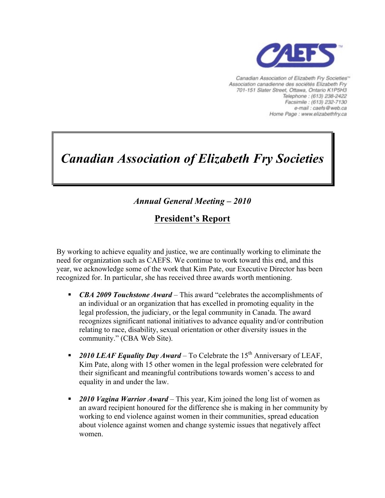

Canadian Association of Elizabeth Fry Societies<sup>16</sup> Association canadienne des sociétés Elizabeth Fry 701-151 Slater Street, Ottawa, Ontario K1P5H3 Telephone: (613) 238-2422 Facsimile : (613) 232-7130 e-mail : caefs@web.ca Home Page : www.elizabethfry.ca

# *Canadian Association of Elizabeth Fry Societies*

## *Annual General Meeting – 2010*

## **President's Report**

By working to achieve equality and justice, we are continually working to eliminate the need for organization such as CAEFS. We continue to work toward this end, and this year, we acknowledge some of the work that Kim Pate, our Executive Director has been recognized for. In particular, she has received three awards worth mentioning.

- *CBA 2009 Touchstone Award* This award "celebrates the accomplishments of an individual or an organization that has excelled in promoting equality in the legal profession, the judiciary, or the legal community in Canada. The award recognizes significant national initiatives to advance equality and/or contribution relating to race, disability, sexual orientation or other diversity issues in the community." (CBA Web Site).
- **•** 2010 LEAF Equality Day Award To Celebrate the 15<sup>th</sup> Anniversary of LEAF, Kim Pate, along with 15 other women in the legal profession were celebrated for their significant and meaningful contributions towards women's access to and equality in and under the law.
- § *2010 Vagina Warrior Award* This year, Kim joined the long list of women as an award recipient honoured for the difference she is making in her community by working to end violence against women in their communities, spread education about violence against women and change systemic issues that negatively affect women.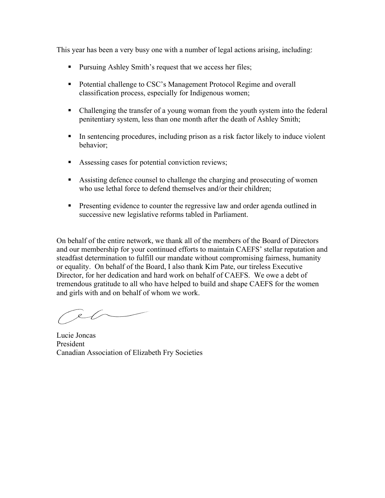This year has been a very busy one with a number of legal actions arising, including:

- Pursuing Ashley Smith's request that we access her files;
- Potential challenge to CSC's Management Protocol Regime and overall classification process, especially for Indigenous women;
- Challenging the transfer of a young woman from the youth system into the federal penitentiary system, less than one month after the death of Ashley Smith;
- In sentencing procedures, including prison as a risk factor likely to induce violent behavior;
- Assessing cases for potential conviction reviews;
- Assisting defence counsel to challenge the charging and prosecuting of women who use lethal force to defend themselves and/or their children;
- Presenting evidence to counter the regressive law and order agenda outlined in successive new legislative reforms tabled in Parliament.

On behalf of the entire network, we thank all of the members of the Board of Directors and our membership for your continued efforts to maintain CAEFS' stellar reputation and steadfast determination to fulfill our mandate without compromising fairness, humanity or equality. On behalf of the Board, I also thank Kim Pate, our tireless Executive Director, for her dedication and hard work on behalf of CAEFS. We owe a debt of tremendous gratitude to all who have helped to build and shape CAEFS for the women and girls with and on behalf of whom we work.

el

Lucie Joncas President Canadian Association of Elizabeth Fry Societies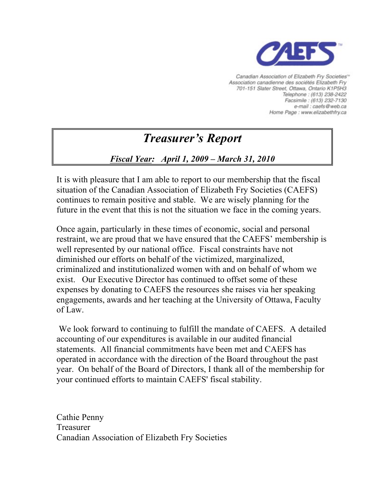

Canadian Association of Elizabeth Fry Societies<sup>16</sup> Association canadienne des sociétés Elizabeth Fry 701-151 Slater Street, Ottawa, Ontario K1P5H3 Telephone: (613) 238-2422 Facsimile: (613) 232-7130 e-mail : caefs@web.ca Home Page : www.elizabethfry.ca

## *Treasurer's Report*

## *Fiscal Year: April 1, 2009 – March 31, 2010*

It is with pleasure that I am able to report to our membership that the fiscal situation of the Canadian Association of Elizabeth Fry Societies (CAEFS) continues to remain positive and stable. We are wisely planning for the future in the event that this is not the situation we face in the coming years.

Once again, particularly in these times of economic, social and personal restraint, we are proud that we have ensured that the CAEFS' membership is well represented by our national office. Fiscal constraints have not diminished our efforts on behalf of the victimized, marginalized, criminalized and institutionalized women with and on behalf of whom we exist. Our Executive Director has continued to offset some of these expenses by donating to CAEFS the resources she raises via her speaking engagements, awards and her teaching at the University of Ottawa, Faculty of Law.

We look forward to continuing to fulfill the mandate of CAEFS. A detailed accounting of our expenditures is available in our audited financial statements. All financial commitments have been met and CAEFS has operated in accordance with the direction of the Board throughout the past year. On behalf of the Board of Directors, I thank all of the membership for your continued efforts to maintain CAEFS' fiscal stability.

Cathie Penny Treasurer Canadian Association of Elizabeth Fry Societies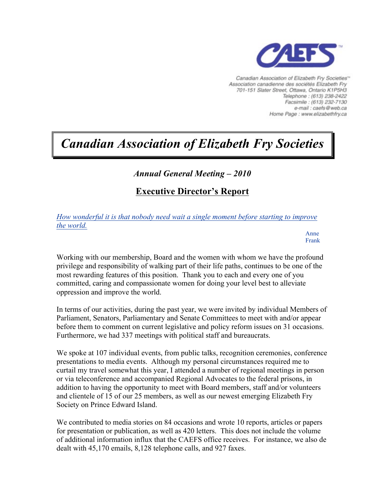

Canadian Association of Elizabeth Fry Societies<sup>16</sup> Association canadienne des sociétés Elizabeth Fry 701-151 Slater Street, Ottawa, Ontario K1P5H3 Telephone: (613) 238-2422 Facsimile: (613) 232-7130 e-mail : caefs@web.ca Home Page : www.elizabethfry.ca

## *Canadian Association of Elizabeth Fry Societies*

## *Annual General Meeting – 2010*

## **Executive Director's Report**

*How wonderful it is that nobody need wait a single moment before starting to improve the world.*

> Anne Frank

Working with our membership, Board and the women with whom we have the profound privilege and responsibility of walking part of their life paths, continues to be one of the most rewarding features of this position. Thank you to each and every one of you committed, caring and compassionate women for doing your level best to alleviate oppression and improve the world.

In terms of our activities, during the past year, we were invited by individual Members of Parliament, Senators, Parliamentary and Senate Committees to meet with and/or appear before them to comment on current legislative and policy reform issues on 31 occasions. Furthermore, we had 337 meetings with political staff and bureaucrats.

We spoke at 107 individual events, from public talks, recognition ceremonies, conference presentations to media events. Although my personal circumstances required me to curtail my travel somewhat this year, I attended a number of regional meetings in person or via teleconference and accompanied Regional Advocates to the federal prisons, in addition to having the opportunity to meet with Board members, staff and/or volunteers and clientele of 15 of our 25 members, as well as our newest emerging Elizabeth Fry Society on Prince Edward Island.

We contributed to media stories on 84 occasions and wrote 10 reports, articles or papers for presentation or publication, as well as 420 letters. This does not include the volume of additional information influx that the CAEFS office receives. For instance, we also de dealt with 45,170 emails, 8,128 telephone calls, and 927 faxes.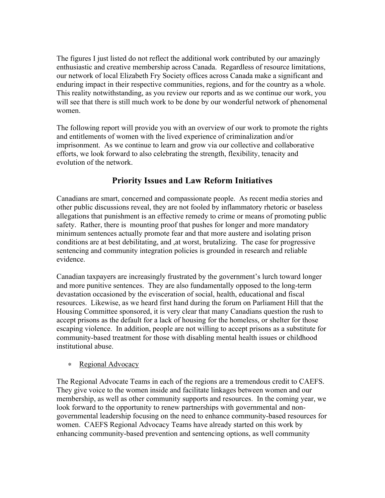The figures I just listed do not reflect the additional work contributed by our amazingly enthusiastic and creative membership across Canada. Regardless of resource limitations, our network of local Elizabeth Fry Society offices across Canada make a significant and enduring impact in their respective communities, regions, and for the country as a whole. This reality notwithstanding, as you review our reports and as we continue our work, you will see that there is still much work to be done by our wonderful network of phenomenal women.

The following report will provide you with an overview of our work to promote the rights and entitlements of women with the lived experience of criminalization and/or imprisonment. As we continue to learn and grow via our collective and collaborative efforts, we look forward to also celebrating the strength, flexibility, tenacity and evolution of the network.

## **Priority Issues and Law Reform Initiatives**

Canadians are smart, concerned and compassionate people. As recent media stories and other public discussions reveal, they are not fooled by inflammatory rhetoric or baseless allegations that punishment is an effective remedy to crime or means of promoting public safety. Rather, there is mounting proof that pushes for longer and more mandatory minimum sentences actually promote fear and that more austere and isolating prison conditions are at best debilitating, and ,at worst, brutalizing. The case for progressive sentencing and community integration policies is grounded in research and reliable evidence.

Canadian taxpayers are increasingly frustrated by the government's lurch toward longer and more punitive sentences. They are also fundamentally opposed to the long-term devastation occasioned by the evisceration of social, health, educational and fiscal resources. Likewise, as we heard first hand during the forum on Parliament Hill that the Housing Committee sponsored, it is very clear that many Canadians question the rush to accept prisons as the default for a lack of housing for the homeless, or shelter for those escaping violence. In addition, people are not willing to accept prisons as a substitute for community-based treatment for those with disabling mental health issues or childhood institutional abuse.

#### ∗ Regional Advocacy

The Regional Advocate Teams in each of the regions are a tremendous credit to CAEFS. They give voice to the women inside and facilitate linkages between women and our membership, as well as other community supports and resources. In the coming year, we look forward to the opportunity to renew partnerships with governmental and nongovernmental leadership focusing on the need to enhance community-based resources for women. CAEFS Regional Advocacy Teams have already started on this work by enhancing community-based prevention and sentencing options, as well community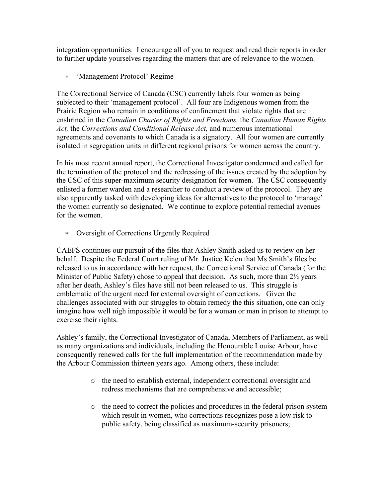integration opportunities. I encourage all of you to request and read their reports in order to further update yourselves regarding the matters that are of relevance to the women.

#### ∗ 'Management Protocol' Regime

The Correctional Service of Canada (CSC) currently labels four women as being subjected to their 'management protocol'. All four are Indigenous women from the Prairie Region who remain in conditions of confinement that violate rights that are enshrined in the *Canadian Charter of Rights and Freedoms,* the *Canadian Human Rights Act,* the *Corrections and Conditional Release Act,* and numerous international agreements and covenants to which Canada is a signatory. All four women are currently isolated in segregation units in different regional prisons for women across the country.

In his most recent annual report, the Correctional Investigator condemned and called for the termination of the protocol and the redressing of the issues created by the adoption by the CSC of this super-maximum security designation for women. The CSC consequently enlisted a former warden and a researcher to conduct a review of the protocol. They are also apparently tasked with developing ideas for alternatives to the protocol to 'manage' the women currently so designated. We continue to explore potential remedial avenues for the women.

#### ∗ Oversight of Corrections Urgently Required

CAEFS continues our pursuit of the files that Ashley Smith asked us to review on her behalf. Despite the Federal Court ruling of Mr. Justice Kelen that Ms Smith's files be released to us in accordance with her request, the Correctional Service of Canada (for the Minister of Public Safety) chose to appeal that decision. As such, more than 2<sup>1/2</sup> years after her death, Ashley's files have still not been released to us. This struggle is emblematic of the urgent need for external oversight of corrections. Given the challenges associated with our struggles to obtain remedy the this situation, one can only imagine how well nigh impossible it would be for a woman or man in prison to attempt to exercise their rights.

Ashley's family, the Correctional Investigator of Canada, Members of Parliament, as well as many organizations and individuals, including the Honourable Louise Arbour, have consequently renewed calls for the full implementation of the recommendation made by the Arbour Commission thirteen years ago. Among others, these include:

- o the need to establish external, independent correctional oversight and redress mechanisms that are comprehensive and accessible;
- o the need to correct the policies and procedures in the federal prison system which result in women, who corrections recognizes pose a low risk to public safety, being classified as maximum-security prisoners;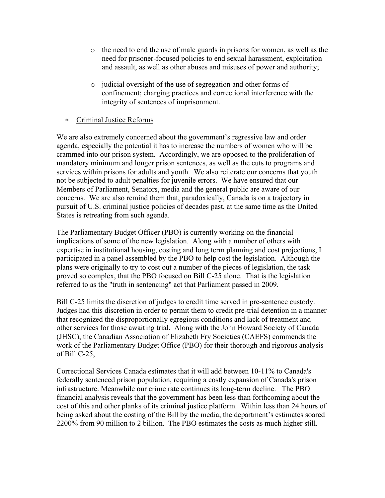- $\circ$  the need to end the use of male guards in prisons for women, as well as the need for prisoner-focused policies to end sexual harassment, exploitation and assault, as well as other abuses and misuses of power and authority;
- o judicial oversight of the use of segregation and other forms of confinement; charging practices and correctional interference with the integrity of sentences of imprisonment.

#### ∗ Criminal Justice Reforms

We are also extremely concerned about the government's regressive law and order agenda, especially the potential it has to increase the numbers of women who will be crammed into our prison system. Accordingly, we are opposed to the proliferation of mandatory minimum and longer prison sentences, as well as the cuts to programs and services within prisons for adults and youth. We also reiterate our concerns that youth not be subjected to adult penalties for juvenile errors. We have ensured that our Members of Parliament, Senators, media and the general public are aware of our concerns. We are also remind them that, paradoxically, Canada is on a trajectory in pursuit of U.S. criminal justice policies of decades past, at the same time as the United States is retreating from such agenda.

The Parliamentary Budget Officer (PBO) is currently working on the financial implications of some of the new legislation. Along with a number of others with expertise in institutional housing, costing and long term planning and cost projections, I participated in a panel assembled by the PBO to help cost the legislation. Although the plans were originally to try to cost out a number of the pieces of legislation, the task proved so complex, that the PBO focused on Bill C-25 alone. That is the legislation referred to as the "truth in sentencing" act that Parliament passed in 2009.

Bill C-25 limits the discretion of judges to credit time served in pre-sentence custody. Judges had this discretion in order to permit them to credit pre-trial detention in a manner that recognized the disproportionally egregious conditions and lack of treatment and other services for those awaiting trial. Along with the John Howard Society of Canada (JHSC), the Canadian Association of Elizabeth Fry Societies (CAEFS) commends the work of the Parliamentary Budget Office (PBO) for their thorough and rigorous analysis of Bill C-25,

Correctional Services Canada estimates that it will add between 10-11% to Canada's federally sentenced prison population, requiring a costly expansion of Canada's prison infrastructure. Meanwhile our crime rate continues its long-term decline. The PBO financial analysis reveals that the government has been less than forthcoming about the cost of this and other planks of its criminal justice platform. Within less than 24 hours of being asked about the costing of the Bill by the media, the department's estimates soared 2200% from 90 million to 2 billion. The PBO estimates the costs as much higher still.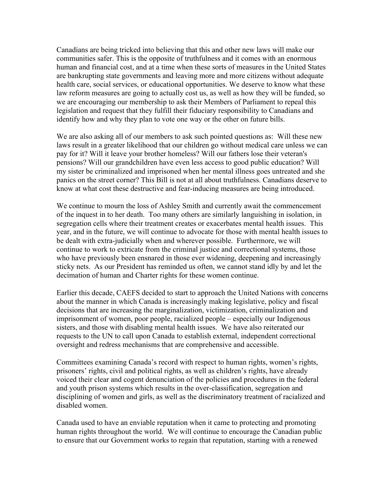Canadians are being tricked into believing that this and other new laws will make our communities safer. This is the opposite of truthfulness and it comes with an enormous human and financial cost, and at a time when these sorts of measures in the United States are bankrupting state governments and leaving more and more citizens without adequate health care, social services, or educational opportunities. We deserve to know what these law reform measures are going to actually cost us, as well as how they will be funded, so we are encouraging our membership to ask their Members of Parliament to repeal this legislation and request that they fulfill their fiduciary responsibility to Canadians and identify how and why they plan to vote one way or the other on future bills.

We are also asking all of our members to ask such pointed questions as: Will these new laws result in a greater likelihood that our children go without medical care unless we can pay for it? Will it leave your brother homeless? Will our fathers lose their veteran's pensions? Will our grandchildren have even less access to good public education? Will my sister be criminalized and imprisoned when her mental illness goes untreated and she panics on the street corner? This Bill is not at all about truthfulness. Canadians deserve to know at what cost these destructive and fear-inducing measures are being introduced.

We continue to mourn the loss of Ashley Smith and currently await the commencement of the inquest in to her death. Too many others are similarly languishing in isolation, in segregation cells where their treatment creates or exacerbates mental health issues. This year, and in the future, we will continue to advocate for those with mental health issues to be dealt with extra-judicially when and wherever possible. Furthermore, we will continue to work to extricate from the criminal justice and correctional systems, those who have previously been ensnared in those ever widening, deepening and increasingly sticky nets. As our President has reminded us often, we cannot stand idly by and let the decimation of human and Charter rights for these women continue.

Earlier this decade, CAEFS decided to start to approach the United Nations with concerns about the manner in which Canada is increasingly making legislative, policy and fiscal decisions that are increasing the marginalization, victimization, criminalization and imprisonment of women, poor people, racialized people – especially our Indigenous sisters, and those with disabling mental health issues. We have also reiterated our requests to the UN to call upon Canada to establish external, independent correctional oversight and redress mechanisms that are comprehensive and accessible.

Committees examining Canada's record with respect to human rights, women's rights, prisoners' rights, civil and political rights, as well as children's rights, have already voiced their clear and cogent denunciation of the policies and procedures in the federal and youth prison systems which results in the over-classification, segregation and disciplining of women and girls, as well as the discriminatory treatment of racialized and disabled women.

Canada used to have an enviable reputation when it came to protecting and promoting human rights throughout the world. We will continue to encourage the Canadian public to ensure that our Government works to regain that reputation, starting with a renewed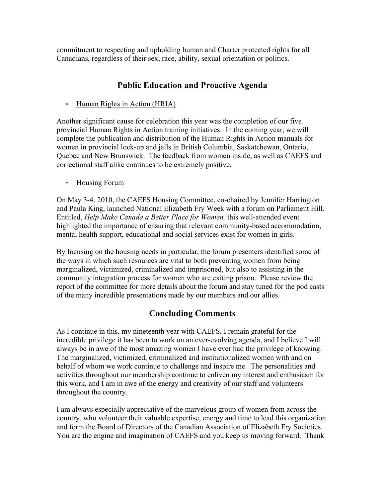commitment to respecting and upholding human and Charter protected rights for all Canadians, regardless of their sex, race, ability, sexual orientation or politics.

### **Public Education and Proactive Agenda**

#### ∗ Human Rights in Action (HRIA)

Another significant cause for celebration this year was the completion of our five provincial Human Rights in Action training initiatives. In the coming year, we will complete the publication and distribution of the Human Rights in Action manuals for women in provincial lock-up and jails in British Columbia, Saskatchewan, Ontario, Quebec and New Brunswick. The feedback from women inside, as well as CAEFS and correctional staff alike continues to be extremely positive.

#### ∗ Housing Forum

On May 3-4, 2010, the CAEFS Housing Committee, co-chaired by Jennifer Harrington and Paula King, launched National Elizabeth Fry Week with a forum on Parliament Hill. Entitled, *Help Make Canada a Better Place for Women,* this well-attended event highlighted the importance of ensuring that relevant community-based accommodation, mental health support, educational and social services exist for women in girls.

By focusing on the housing needs in particular, the forum presenters identified some of the ways in which such resources are vital to both preventing women from being marginalized, victimized, criminalized and imprisoned, but also to assisting in the community integration process for women who are exiting prison. Please review the report of the committee for more details about the forum and stay tuned for the pod casts of the many incredible presentations made by our members and our allies.

## **Concluding Comments**

As I continue in this, my nineteenth year with CAEFS, I remain grateful for the incredible privilege it has been to work on an ever-evolving agenda, and I believe I will always be in awe of the most amazing women I have ever had the privilege of knowing. The marginalized, victimized, criminalized and institutionalized women with and on behalf of whom we work continue to challenge and inspire me. The personalities and activities throughout our membership continue to enliven my interest and enthusiasm for this work, and I am in awe of the energy and creativity of our staff and volunteers throughout the country.

I am always especially appreciative of the marvelous group of women from across the country, who volunteer their valuable expertise, energy and time to lead this organization and form the Board of Directors of the Canadian Association of Elizabeth Fry Societies. You are the engine and imagination of CAEFS and you keep us moving forward. Thank